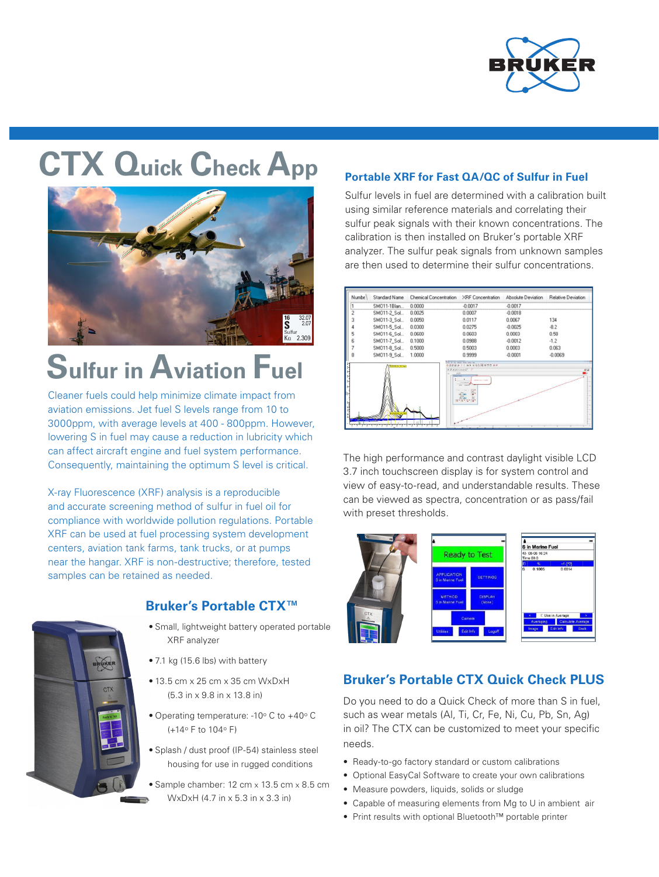

# **CTX Quick Check App**



## **Sulfur in Aviation Fuel**

Cleaner fuels could help minimize climate impact from aviation emissions. Jet fuel S levels range from 10 to 3000ppm, with average levels at 400 - 800ppm. However, lowering S in fuel may cause a reduction in lubricity which can affect aircraft engine and fuel system performance. Consequently, maintaining the optimum S level is critical.

X-ray Fluorescence (XRF) analysis is a reproducible and accurate screening method of sulfur in fuel oil for compliance with worldwide pollution regulations. Portable XRF can be used at fuel processing system development centers, aviation tank farms, tank trucks, or at pumps near the hangar. XRF is non-destructive; therefore, tested samples can be retained as needed.



#### **Bruker's Portable CTX™**

- Small, lightweight battery operated portable XRF analyzer
- 7.1 kg (15.6 lbs) with battery
- $\bullet$  13.5 cm x 25 cm x 35 cm WxDxH (5.3 in x 9.8 in x 13.8 in)
- Operating temperature: -10° C to +40° C (+14o F to 104o F)
- Splash / dust proof (IP-54) stainless steel housing for use in rugged conditions
- Sample chamber: 12 cm x 13.5 cm x 8.5 cm WxDxH (4.7 in x 5.3 in x 3.3 in)

#### **Portable XRF for Fast QA/QC of Sulfur in Fuel**

Sulfur levels in fuel are determined with a calibration built using similar reference materials and correlating their sulfur peak signals with their known concentrations. The calibration is then installed on Bruker's portable XRF analyzer. The sulfur peak signals from unknown samples are then used to determine their sulfur concentrations.



The high performance and contrast daylight visible LCD 3.7 inch touchscreen display is for system control and view of easy-to-read, and understandable results. These can be viewed as spectra, concentration or as pass/fail with preset thresholds.



#### **Bruker's Portable CTX Quick Check PLUS**

Do you need to do a Quick Check of more than S in fuel, such as wear metals (Al, Ti, Cr, Fe, Ni, Cu, Pb, Sn, Ag) in oil? The CTX can be customized to meet your specific needs.

- Ready-to-go factory standard or custom calibrations
- Optional EasyCal Software to create your own calibrations
- Measure powders, liquids, solids or sludge
- Capable of measuring elements from Mg to U in ambient air
- Print results with optional Bluetooth™ portable printer